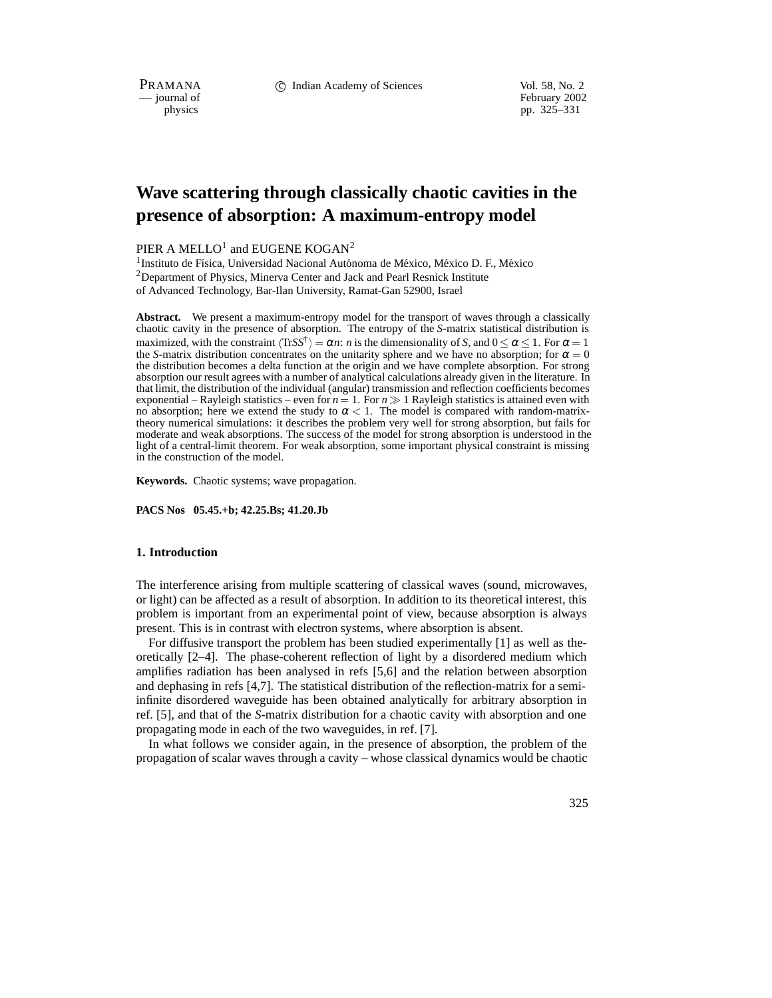PRAMANA 
<sup>C</sup> Indian Academy of Sciences Vol. 58, No. 2<br>
— iournal of February 2002

physics<br>
pp. 325–331<br>
pp. 325–331 pp. 325–331

# **Wave scattering through classically chaotic cavities in the presence of absorption: A maximum-entropy model**

PIER A MELLO<sup>1</sup> and EUGENE KOGAN<sup>2</sup>

 $1$ Instituto de Física, Universidad Nacional Autónoma de México, México D. F., México  $2$ Department of Physics, Minerva Center and Jack and Pearl Resnick Institute of Advanced Technology, Bar-Ilan University, Ramat-Gan 52900, Israel

**Abstract.** We present a maximum-entropy model for the transport of waves through a classically chaotic cavity in the presence of absorption. The entropy of the *S*-matrix statistical distribution is maximized, with the constraint  $\langle \text{Tr}SS^{\dagger} \rangle = \alpha n$ : *n* is the dimensionality of *S*, and  $0 \leq \alpha \leq 1$ . For  $\alpha = 1$ . the *S*-matrix distribution concentrates on the unitarity sphere and we have no absorption; for  $\alpha = 0$ the distribution becomes a delta function at the origin and we have complete absorption. For strong absorption our result agrees with a number of analytical calculations already given in the literature. In that limit, the distribution of the individual (angular) transmission and reflection coefficients becomes exponential – Rayleigh statistics – even for  $n = 1$ . For  $n \gg 1$  Rayleigh statistics is attained even with no absorption; here we extend the study to  $\alpha < 1$ . The model is compared with random-matrixtheory numerical simulations: it describes the problem very well for strong absorption, but fails for moderate and weak absorptions. The success of the model for strong absorption is understood in the light of a central-limit theorem. For weak absorption, some important physical constraint is missing in the construction of the model.

**Keywords.** Chaotic systems; wave propagation.

**PACS Nos 05.45.+b; 42.25.Bs; 41.20.Jb**

#### **1. Introduction**

The interference arising from multiple scattering of classical waves (sound, microwaves, or light) can be affected as a result of absorption. In addition to its theoretical interest, this problem is important from an experimental point of view, because absorption is always present. This is in contrast with electron systems, where absorption is absent.

For diffusive transport the problem has been studied experimentally [1] as well as theoretically [2–4]. The phase-coherent reflection of light by a disordered medium which amplifies radiation has been analysed in refs [5,6] and the relation between absorption and dephasing in refs [4,7]. The statistical distribution of the reflection-matrix for a semiinfinite disordered waveguide has been obtained analytically for arbitrary absorption in ref. [5], and that of the *S*-matrix distribution for a chaotic cavity with absorption and one propagating mode in each of the two waveguides, in ref. [7].

In what follows we consider again, in the presence of absorption, the problem of the propagation of scalar waves through a cavity – whose classical dynamics would be chaotic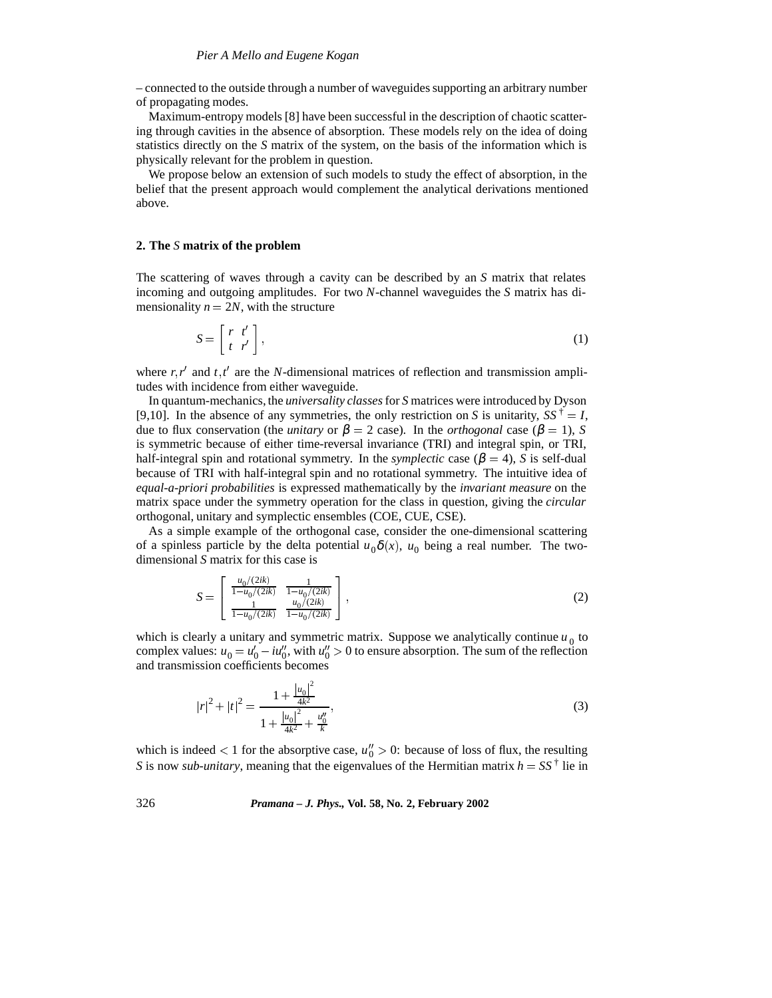– connected to the outside through a number of waveguides supporting an arbitrary number of propagating modes.

Maximum-entropy models [8] have been successful in the description of chaotic scattering through cavities in the absence of absorption. These models rely on the idea of doing statistics directly on the *S* matrix of the system, on the basis of the information which is physically relevant for the problem in question.

We propose below an extension of such models to study the effect of absorption, in the belief that the present approach would complement the analytical derivations mentioned above.

### **2. The** *S* **matrix of the problem**

The scattering of waves through a cavity can be described by an *S* matrix that relates incoming and outgoing amplitudes. For two *N*-channel waveguides the *S* matrix has dimensionality  $n = 2N$ , with the structure

$$
S = \begin{bmatrix} r & t' \\ t & r' \end{bmatrix},\tag{1}
$$

where  $r, r'$  and  $t, t'$  are the *N*-dimensional matrices of reflection and transmission amplitudes with incidence from either waveguide.

In quantum-mechanics, the *universality classes*for *S* matrices were introduced by Dyson [9,10]. In the absence of any symmetries, the only restriction on *S* is unitarity,  $SS^{\dagger} = I$ , due to flux conservation (the *unitary* or  $\beta = 2$  case). In the *orthogonal* case ( $\beta = 1$ ), *S* is symmetric because of either time-reversal invariance (TRI) and integral spin, or TRI, half-integral spin and rotational symmetry. In the *symplectic* case ( $\beta = 4$ ), *S* is self-dual because of TRI with half-integral spin and no rotational symmetry. The intuitive idea of *equal-a-priori probabilities* is expressed mathematically by the *invariant measure* on the matrix space under the symmetry operation for the class in question, giving the *circular* orthogonal, unitary and symplectic ensembles (COE, CUE, CSE).

As a simple example of the orthogonal case, consider the one-dimensional scattering of a spinless particle by the delta potential  $u_0\delta(x)$ ,  $u_0$  being a real number. The twodimensional *S* matrix for this case is

$$
S = \begin{bmatrix} \frac{u_0/(2ik)}{1 - u_0/(2ik)} & \frac{1}{1 - u_0/(2ik)} \\ \frac{1}{1 - u_0/(2ik)} & \frac{u_0/(2ik)}{1 - u_0/(2ik)} \end{bmatrix},
$$
(2)

which is clearly a unitary and symmetric matrix. Suppose we analytically continue  $u_0$  to complex values:  $u_0 = u'_0 - iu''_0$ , with  $u''_0 > 0$  to ensure absorption. The sum of the reflection and transmission coefficients becomes

$$
|r|^2 + |t|^2 = \frac{1 + \frac{|u_0|^2}{4k^2}}{1 + \frac{|u_0|^2}{4k^2} + \frac{u_0''}{k}},
$$
\n(3)

which is indeed  $\lt 1$  for the absorptive case,  $u_0'' > 0$ : because of loss of flux, the resulting *S* is now *sub-unitary*, meaning that the eigenvalues of the Hermitian matrix  $h = SS^{\dagger}$  lie in

## 326 *Pramana – J. Phys.,* **Vol. 58, No. 2, February 2002**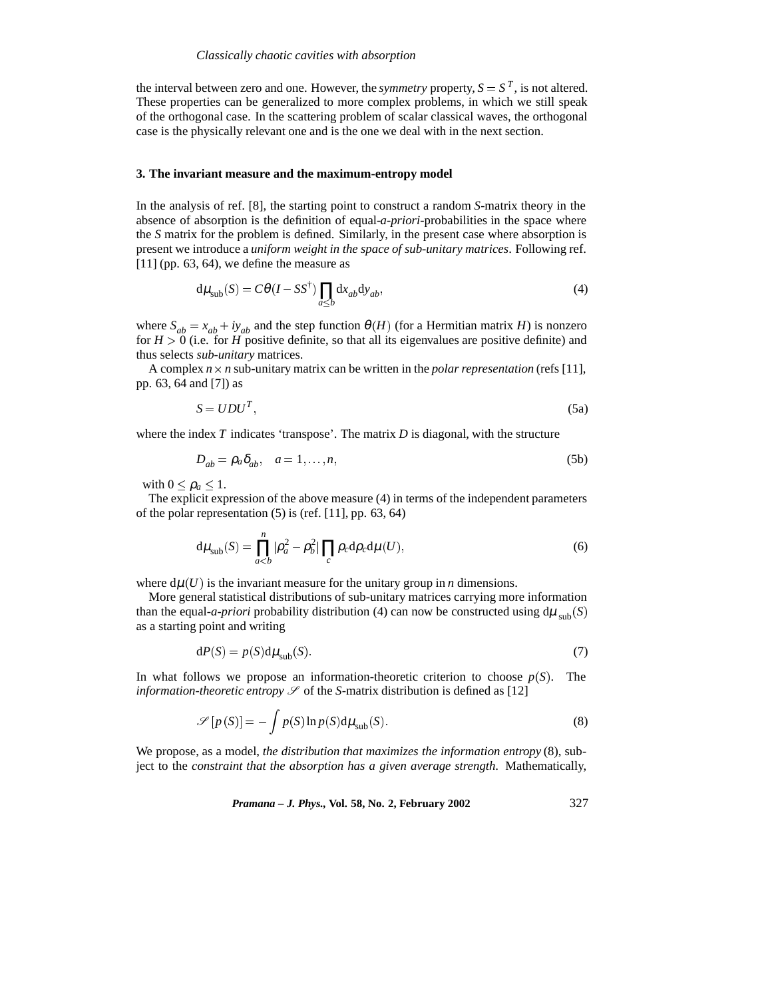the interval between zero and one. However, the *symmetry* property,  $S = S^T$ , is not altered. These properties can be generalized to more complex problems, in which we still speak of the orthogonal case. In the scattering problem of scalar classical waves, the orthogonal case is the physically relevant one and is the one we deal with in the next section.

#### **3. The invariant measure and the maximum-entropy model**

In the analysis of ref. [8], the starting point to construct a random *S*-matrix theory in the absence of absorption is the definition of equal-*a-priori*-probabilities in the space where the *S* matrix for the problem is defined. Similarly, in the present case where absorption is present we introduce a *uniform weight in the space of sub-unitary matrices*. Following ref.  $[11]$  (pp. 63, 64), we define the measure as

$$
d\mu_{sub}(S) = C\theta (I - SS^{\dagger}) \prod_{a \le b} dx_{ab} dy_{ab},
$$
\n(4)

where  $S_{ab} = x_{ab} + iy_{ab}$  and the step function  $\theta(H)$  (for a Hermitian matrix *H*) is nonzero for  $H > 0$  (i.e. for *H* positive definite, so that all its eigenvalues are positive definite) and thus selects *sub-unitary* matrices.

A complex  $n \times n$  sub-unitary matrix can be written in the *polar representation* (refs [11], pp. 63, 64 and [7]) as

$$
S = UDUT,
$$
 (5a)

where the index  $T$  indicates 'transpose'. The matrix  $D$  is diagonal, with the structure

$$
D_{ab} = \rho_a \delta_{ab}, \quad a = 1, \dots, n,
$$
\n(5b)

with  $0 \leq \rho_a \leq 1$ .

The explicit expression of the above measure (4) in terms of the independent parameters of the polar representation (5) is (ref. [11], pp. 63, 64)

$$
d\mu_{sub}(S) = \prod_{a
$$

where  $d\mu(U)$  is the invariant measure for the unitary group in *n* dimensions.

More general statistical distributions of sub-unitary matrices carrying more information than the equal-*a-priori* probability distribution (4) can now be constructed using  $d\mu_{sub}(S)$ as a starting point and writing

$$
dP(S) = p(S)d\mu_{sub}(S).
$$
 (7)

In what follows we propose an information-theoretic criterion to choose  $p(S)$ . The *information-theoretic entropy*  $\mathcal S$  of the *S*-matrix distribution is defined as [12]

$$
\mathscr{S}[p(S)] = -\int p(S)\ln p(S)d\mu_{sub}(S).
$$
\n(8)

We propose, as a model, *the distribution that maximizes the information entropy* (8), subject to the *constraint that the absorption has a given average strength*. Mathematically,

*Pramana – J. Phys.,* **Vol. 58, No. 2, February 2002** 327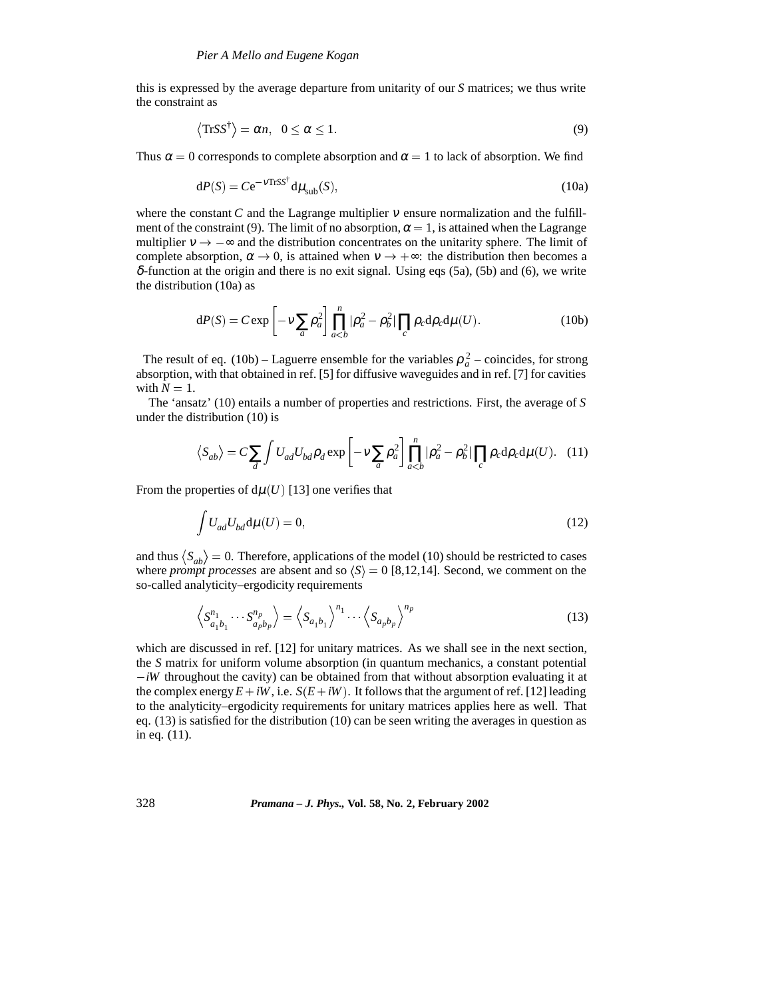this is expressed by the average departure from unitarity of our *S* matrices; we thus write the constraint as

$$
\langle \text{Tr} S S^{\dagger} \rangle = \alpha n, \ \ 0 \le \alpha \le 1. \tag{9}
$$

Thus  $\alpha = 0$  corresponds to complete absorption and  $\alpha = 1$  to lack of absorption. We find

$$
dP(S) = Ce^{-\nu TrSS^{\dagger}} d\mu_{sub}(S), \qquad (10a)
$$

where the constant *C* and the Lagrange multiplier  $\nu$  ensure normalization and the fulfillment of the constraint (9). The limit of no absorption,  $\alpha = 1$ , is attained when the Lagrange multiplier  $v \rightarrow -\infty$  and the distribution concentrates on the unitarity sphere. The limit of complete absorption,  $\alpha \to 0$ , is attained when  $v \to +\infty$ : the distribution then becomes a  $\delta$ -function at the origin and there is no exit signal. Using eqs (5a), (5b) and (6), we write the distribution (10a) as

$$
dP(S) = C \exp\left[-\nu \sum_{a} \rho_a^2\right] \prod_{a (10b)
$$

The result of eq. (10b) – Laguerre ensemble for the variables  $\rho_a^2$  – coincides, for strong absorption, with that obtained in ref. [5] for diffusive waveguides and in ref. [7] for cavities with  $N = 1$ .

The 'ansatz' (10) entails a number of properties and restrictions. First, the average of *S* under the distribution (10) is

$$
\langle S_{ab} \rangle = C \sum_{d} \int U_{ad} U_{bd} \rho_d \exp \left[ -v \sum_{a} \rho_a^2 \right] \prod_{a
$$

From the properties of  $d\mu(U)$  [13] one verifies that

$$
\int U_{ad} U_{bd} \mathrm{d}\mu(U) = 0,\tag{12}
$$

and thus  $\langle S_{ab} \rangle = 0$ . Therefore, applications of the model (10) should be restricted to cases where *prompt processes* are absent and so  $\langle S \rangle = 0$  [8,12,14]. Second, we comment on the so-called analyticity–ergodicity requirements

$$
\left\langle S_{a_1b_1}^{n_1} \cdots S_{a_pb_p}^{n_p} \right\rangle = \left\langle S_{a_1b_1} \right\rangle^{n_1} \cdots \left\langle S_{a_pb_p} \right\rangle^{n_p}
$$
\n(13)

which are discussed in ref. [12] for unitary matrices. As we shall see in the next section, the *S* matrix for uniform volume absorption (in quantum mechanics, a constant potential  $-iW$  throughout the cavity) can be obtained from that without absorption evaluating it at the complex energy  $E + iW$ , i.e.  $S(E + iW)$ . It follows that the argument of ref. [12] leading to the analyticity–ergodicity requirements for unitary matrices applies here as well. That eq. (13) is satisfied for the distribution (10) can be seen writing the averages in question as in eq. (11).

## 328 *Pramana – J. Phys.,* **Vol. 58, No. 2, February 2002**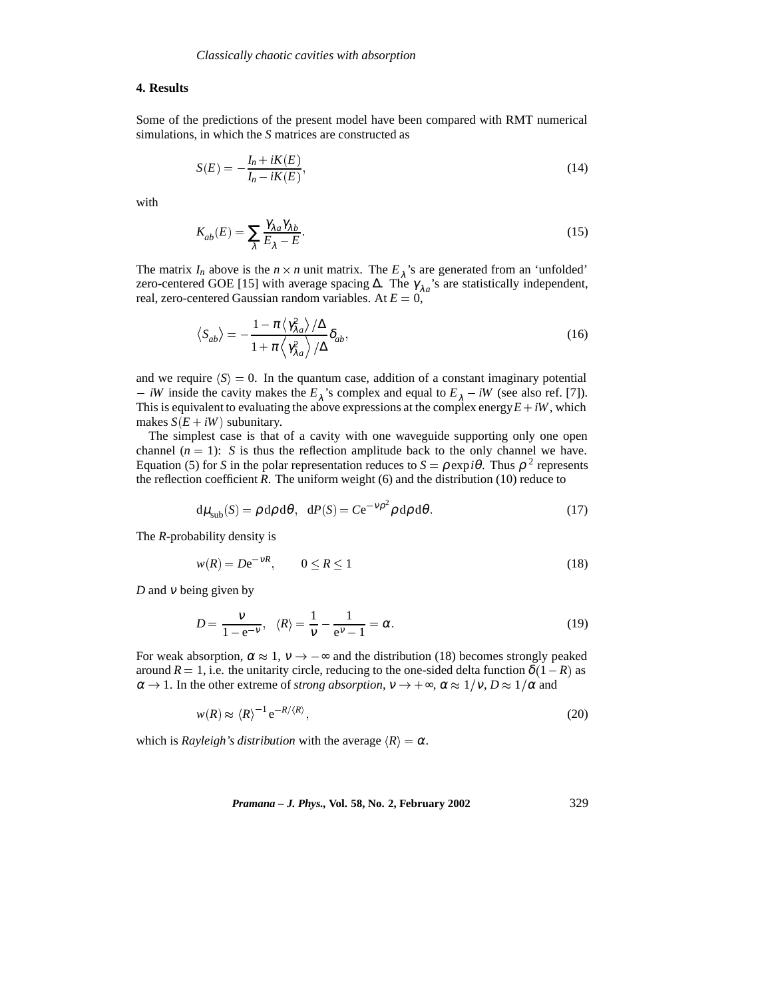#### **4. Results**

Some of the predictions of the present model have been compared with RMT numerical simulations, in which the *S* matrices are constructed as

$$
S(E) = -\frac{I_n + iK(E)}{I_n - iK(E)},\tag{14}
$$

with

$$
K_{ab}(E) = \sum_{\lambda} \frac{\gamma_{\lambda a} \gamma_{\lambda b}}{E_{\lambda} - E}.
$$
\n(15)

The matrix  $I_n$  above is the  $n \times n$  unit matrix. The  $E_\lambda$ 's are generated from an 'unfolded' zero-centered GOE [15] with average spacing Δ. The  $\gamma_{\lambda a}$ 's are statistically independent, real, zero-centered Gaussian random variables. At  $E = 0$ ,

$$
\langle S_{ab}\rangle = -\frac{1-\pi \langle \gamma_{\lambda a}^2 \rangle / \Delta}{1+\pi \langle \gamma_{\lambda a}^2 \rangle / \Delta} \delta_{ab},\tag{16}
$$

and we require  $\langle S \rangle = 0$ . In the quantum case, addition of a constant imaginary potential *iW* inside the cavity makes the  $E_\lambda$ 's complex and equal to  $E_\lambda - iW$  (see also ref. [7]). This is equivalent to evaluating the above expressions at the complex energy  $E + iW$ , which makes  $S(E + iW)$  subunitary.

The simplest case is that of a cavity with one waveguide supporting only one open channel  $(n = 1)$ : *S* is thus the reflection amplitude back to the only channel we have. Equation (5) for *S* in the polar representation reduces to  $S = \rho \exp(i\theta)$ . Thus  $\rho^2$  represents the reflection coefficient  $R$ . The uniform weight  $(6)$  and the distribution  $(10)$  reduce to

$$
d\mu_{sub}(S) = \rho d\rho d\theta, \quad dP(S) = Ce^{-\nu\rho^2} \rho d\rho d\theta. \tag{17}
$$

The *R*-probability density is

$$
w(R) = De^{-VR}, \qquad 0 \le R \le 1 \tag{18}
$$

*D* and <sup>ν</sup> being given by

$$
D = \frac{v}{1 - e^{-v}}, \quad \langle R \rangle = \frac{1}{v} - \frac{1}{e^v - 1} = \alpha. \tag{19}
$$

For weak absorption,  $\alpha \approx 1$ ,  $v \rightarrow -\infty$  and the distribution (18) becomes strongly peaked around  $R = 1$ , i.e. the unitarity circle, reducing to the one-sided delta function  $\delta(1 - R)$  as  $\alpha \to 1$ . In the other extreme of *strong absorption*,  $v \to +\infty$ ,  $\alpha \approx 1/v$ ,  $D \approx 1/\alpha$  and

$$
w(R) \approx \langle R \rangle^{-1} e^{-R/\langle R \rangle},\tag{20}
$$

which is *Rayleigh's distribution* with the average  $\langle R \rangle = \alpha$ .

*Pramana – J. Phys.,* **Vol. 58, No. 2, February 2002** 329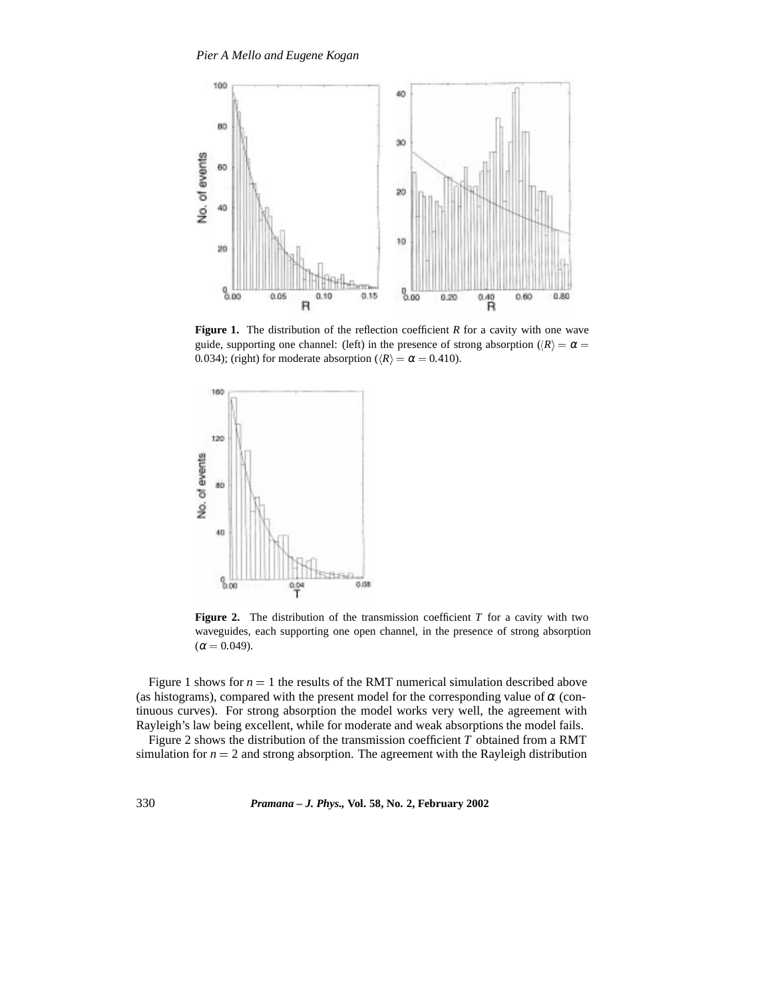

**Figure 1.** The distribution of the reflection coefficient *R* for a cavity with one wave guide, supporting one channel: (left) in the presence of strong absorption ( $\langle R \rangle = \alpha =$ 0.034); (right) for moderate absorption ( $\langle R \rangle = \alpha = 0.410$ ).



**Figure 2.** The distribution of the transmission coefficient *T* for a cavity with two waveguides, each supporting one open channel, in the presence of strong absorption  $(\alpha = 0.049).$ 

Figure 1 shows for  $n = 1$  the results of the RMT numerical simulation described above (as histograms), compared with the present model for the corresponding value of  $\alpha$  (continuous curves). For strong absorption the model works very well, the agreement with Rayleigh's law being excellent, while for moderate and weak absorptions the model fails.

Figure 2 shows the distribution of the transmission coefficient *T* obtained from a RMT simulation for  $n = 2$  and strong absorption. The agreement with the Rayleigh distribution

330 *Pramana – J. Phys.,* **Vol. 58, No. 2, February 2002**